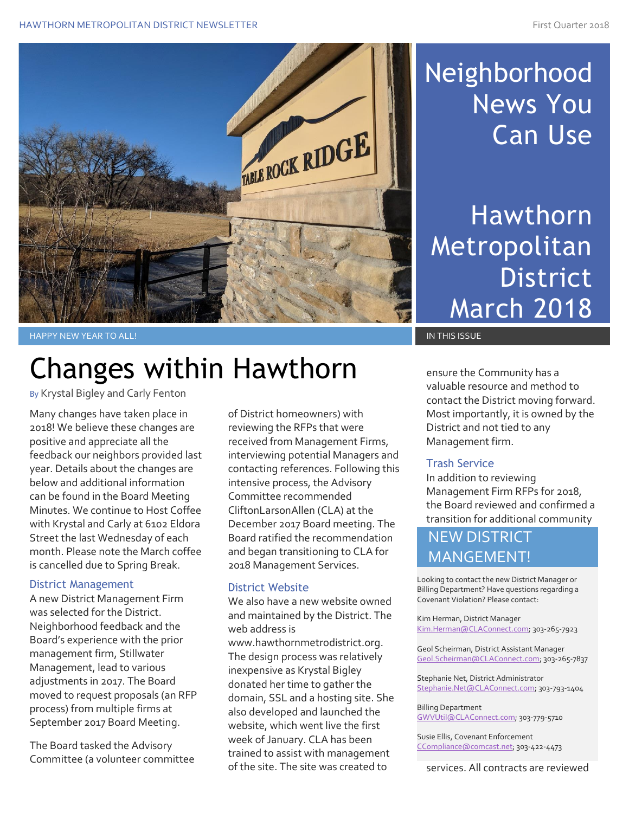#### HAWTHORN METROPOLITAN DISTRICT NEWSLETTER FIRE FIRST CONSTRUCTION OF THE FIRST Quarter 2018



## Neighborhood News You Can Use

Hawthorn Metropolitan District March 2018

#### HAPPY NEW YEAR TO ALL! IN THIS ISSUE AND THIS ISSUE AND THIS ISSUE AND THIS ISSUE AND THIS ISSUE AND THIS ISSUE

# Changes within Hawthorn

By Krystal Bigley and Carly Fenton

Many changes have taken place in 2018! We believe these changes are positive and appreciate all the feedback our neighbors provided last year. Details about the changes are below and additional information can be found in the Board Meeting Minutes. We continue to Host Coffee with Krystal and Carly at 6102 Eldora Street the last Wednesday of each month. Please note the March coffee is cancelled due to Spring Break.

#### District Management

A new District Management Firm was selected for the District. Neighborhood feedback and the Board's experience with the prior management firm, Stillwater Management, lead to various adjustments in 2017. The Board moved to request proposals (an RFP process) from multiple firms at September 2017 Board Meeting.

The Board tasked the Advisory Committee (a volunteer committee of District homeowners) with reviewing the RFPs that were received from Management Firms, interviewing potential Managers and contacting references. Following this intensive process, the Advisory Committee recommended CliftonLarsonAllen (CLA) at the December 2017 Board meeting. The Board ratified the recommendation and began transitioning to CLA for 2018 Management Services.

### District Website

We also have a new website owned and maintained by the District. The web address is www.hawthornmetrodistrict.org. The design process was relatively inexpensive as Krystal Bigley donated her time to gather the domain, SSL and a hosting site. She also developed and launched the website, which went live the first week of January. CLA has been trained to assist with management of the site. The site was created to

ensure the Community has a valuable resource and method to contact the District moving forward. Most importantly, it is owned by the District and not tied to any Management firm.

### Trash Service

In addition to reviewing Management Firm RFPs for 2018, the Board reviewed and confirmed a transition for additional community

### NEW DISTRICT MANGEMENT!

Looking to contact the new District Manager or Billing Department? Have questions regarding a Covenant Violation? Please contact:

Kim Herman, District Manager [Kim.Herman@CLAConnect.com;](mailto:Kim.Herman@CLAConnect.com) 303-265-7923

Geol Scheirman, District Assistant Manager [Geol.Scheirman@CLAConnect.com;](mailto:Geol.Scheirman@CLAConnect.com) 303-265-7837

Stephanie Net, District Administrator [Stephanie.Net@CLAConnect.com;](mailto:Stephanie.Net@CLAConnect.com) 303-793-1404

Billing Department [GWVUtil@CLAConnect.com;](mailto:GWVUtil@CLAConnect.com) 303-779-5710

Susie Ellis, Covenant Enforcement [CCompliance@comcast.net;](mailto:CCompliance@comcast.net) 303-422-4473

services. All contracts are reviewed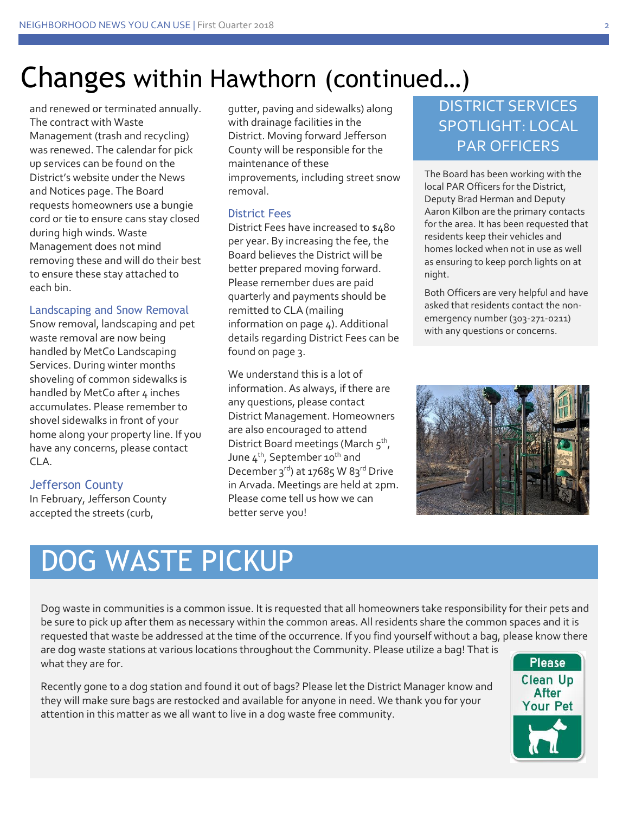### Changes within Hawthorn (continued…)

and renewed or terminated annually. The contract with Waste Management (trash and recycling) was renewed. The calendar for pick up services can be found on the District's website under the News and Notices page. The Board requests homeowners use a bungie cord or tie to ensure cans stay closed during high winds. Waste Management does not mind removing these and will do their best to ensure these stay attached to each bin.

#### Landscaping and Snow Removal

Snow removal, landscaping and pet waste removal are now being handled by MetCo Landscaping Services. During winter months shoveling of common sidewalks is handled by MetCo after 4 inches accumulates. Please remember to shovel sidewalks in front of your home along your property line. If you have any concerns, please contact CLA.

### Jefferson County

In February, Jefferson County accepted the streets (curb,

gutter, paving and sidewalks) along with drainage facilities in the District. Moving forward Jefferson County will be responsible for the maintenance of these improvements, including street snow removal.

### District Fees

District Fees have increased to \$480 per year. By increasing the fee, the Board believes the District will be better prepared moving forward. Please remember dues are paid quarterly and payments should be remitted to CLA (mailing information on page 4). Additional details regarding District Fees can be found on page 3.

We understand this is a lot of information. As always, if there are any questions, please contact District Management. Homeowners are also encouraged to attend District Board meetings (March 5<sup>th</sup>, June  $4^{th}$ , September 10<sup>th</sup> and December 3rd) at 17685 W 83rd Drive in Arvada. Meetings are held at 2pm. Please come tell us how we can better serve you!

### DISTRICT SERVICES SPOTLIGHT: LOCAL PAR OFFICERS

The Board has been working with the local PAR Officers for the District, Deputy Brad Herman and Deputy Aaron Kilbon are the primary contacts for the area. It has been requested that residents keep their vehicles and homes locked when not in use as well as ensuring to keep porch lights on at night.

Both Officers are very helpful and have asked that residents contact the nonemergency number (303-271-0211) with any questions or concerns.



## DOG WASTE PICKUP

Dog waste in communities is a common issue. It is requested that all homeowners take responsibility for their pets and be sure to pick up after them as necessary within the common areas. All residents share the common spaces and it is requested that waste be addressed at the time of the occurrence. If you find yourself without a bag, please know there are dog waste stations at various locations throughout the Community. Please utilize a bag! That is

what they are for. Recently gone to a dog station and found it out of bags? Please let the District Manager know and they will make sure bags are restocked and available for anyone in need. We thank you for your attention in this matter as we all want to live in a dog waste free community.

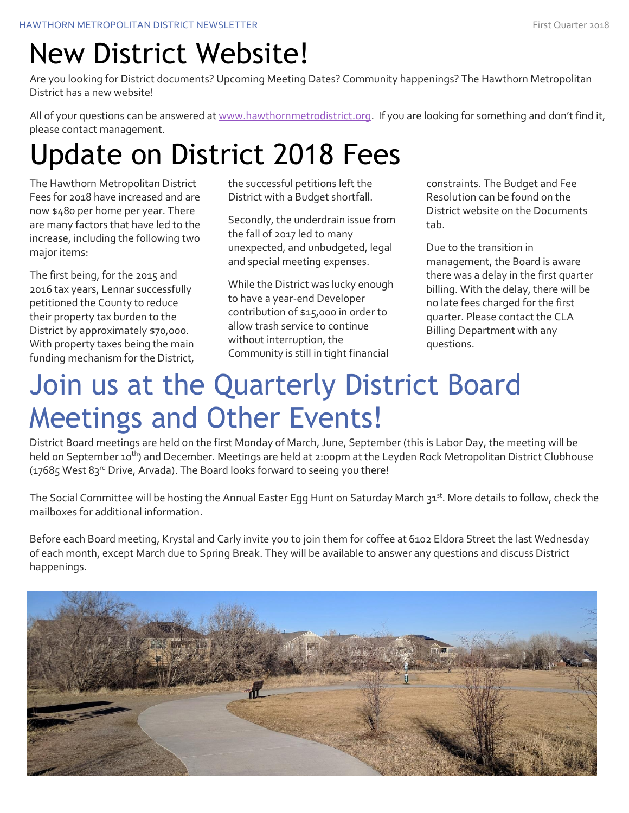### New District Website!

Are you looking for District documents? Upcoming Meeting Dates? Community happenings? The Hawthorn Metropolitan District has a new website!

All of your questions can be answered at [www.hawthornmetrodistrict.org.](http://www.hawthornmetrodistrict.org/) If you are looking for something and don't find it, please contact management.

# Update on District 2018 Fees

The Hawthorn Metropolitan District Fees for 2018 have increased and are now \$480 per home per year. There are many factors that have led to the increase, including the following two major items:

The first being, for the 2015 and 2016 tax years, Lennar successfully petitioned the County to reduce their property tax burden to the District by approximately \$70,000. With property taxes being the main funding mechanism for the District, the successful petitions left the District with a Budget shortfall.

Secondly, the underdrain issue from the fall of 2017 led to many unexpected, and unbudgeted, legal and special meeting expenses.

While the District was lucky enough to have a year-end Developer contribution of \$15,000 in order to allow trash service to continue without interruption, the Community is still in tight financial

constraints. The Budget and Fee Resolution can be found on the District website on the Documents tab.

Due to the transition in management, the Board is aware there was a delay in the first quarter billing. With the delay, there will be no late fees charged for the first quarter. Please contact the CLA Billing Department with any questions.

# Join us at the Quarterly District Board Meetings and Other Events!

District Board meetings are held on the first Monday of March, June, September (this is Labor Day, the meeting will be held on September 10<sup>th</sup>) and December. Meetings are held at 2:00pm at the Leyden Rock Metropolitan District Clubhouse  $(17685$  West  $83<sup>rd</sup>$  Drive, Arvada). The Board looks forward to seeing you there!

The Social Committee will be hosting the Annual Easter Egg Hunt on Saturday March 31st. More details to follow, check the mailboxes for additional information.

Before each Board meeting, Krystal and Carly invite you to join them for coffee at 6102 Eldora Street the last Wednesday of each month, except March due to Spring Break. They will be available to answer any questions and discuss District happenings.